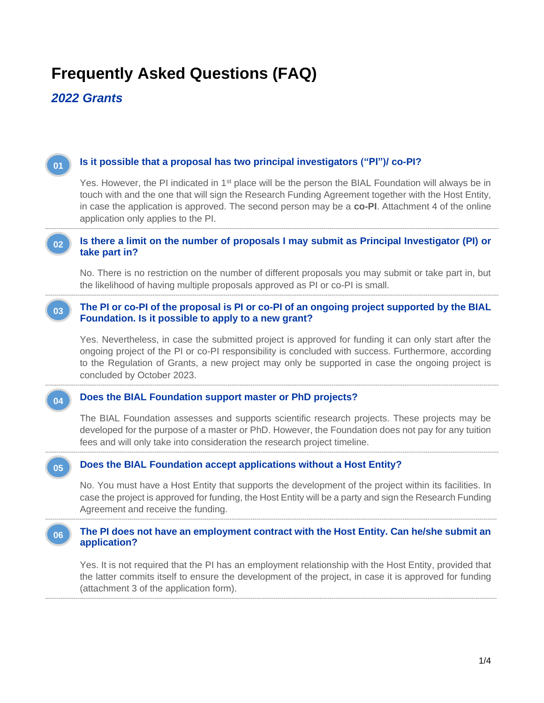# **Frequently Asked Questions (FAQ)**

*2022 Grants*

**01**

# **Is it possible that a proposal has two principal investigators ("PI")/ co-PI?**

Yes. However, the PI indicated in 1<sup>st</sup> place will be the person the BIAL Foundation will always be in touch with and the one that will sign the Research Funding Agreement together with the Host Entity, in case the application is approved. The second person may be a **co-PI**. Attachment 4 of the online application only applies to the PI.

#### **1. Is there a limit on the number of proposals I may submit as Principal Investigator (PI) or take part in? 02**

--------------------------------------------------------------------------------------------------------------------------------------------------------------------------------------------------------------------------------------------

No. There is no restriction on the number of different proposals you may submit or take part in, but the likelihood of having multiple proposals approved as PI or co-PI is small.

#### **1. The PI or co-PI of the proposal is PI or co-PI of an ongoing project supported by the BIAL Foundation. Is it possible to apply to a new grant? 03**

--------------------------------------------------------------------------------------------------------------------------------------------------------------------------------------------------------------------------------------------

--------------------------------------------------------------------------------------------------------------------------------------------------------------------------------------------------------------------------------------------

--------------------------------------------------------------------------------------------------------------------------------------------------------------------------------------------------------------------------------------------

Yes. Nevertheless, in case the submitted project is approved for funding it can only start after the ongoing project of the PI or co-PI responsibility is concluded with success. Furthermore, according to the Regulation of Grants, a new project may only be supported in case the ongoing project is concluded by October 2023.

#### **Does the BIAL Foundation support master or PhD projects? 04**

The BIAL Foundation assesses and supports scientific research projects. These projects may be developed for the purpose of a master or PhD. However, the Foundation does not pay for any tuition fees and will only take into consideration the research project timeline.

#### **1. Does the BIAL Foundation accept applications without a Host Entity? 05**

No. You must have a Host Entity that supports the development of the project within its facilities. In case the project is approved for funding, the Host Entity will be a party and sign the Research Funding Agreement and receive the funding.

#### ------------------------------------------------------------------------------------------------------------------------------------------------------------------------------------------------------------------------------------------- **The PI does not have an employment contract with the Host Entity. Can he/she submit an application? 06**

-------------------------------------------------------------------------------------------------------------------------------------------------------------------------------------------------------------------------------------------

Yes. It is not required that the PI has an employment relationship with the Host Entity, provided that the latter commits itself to ensure the development of the project, in case it is approved for funding (attachment 3 of the application form).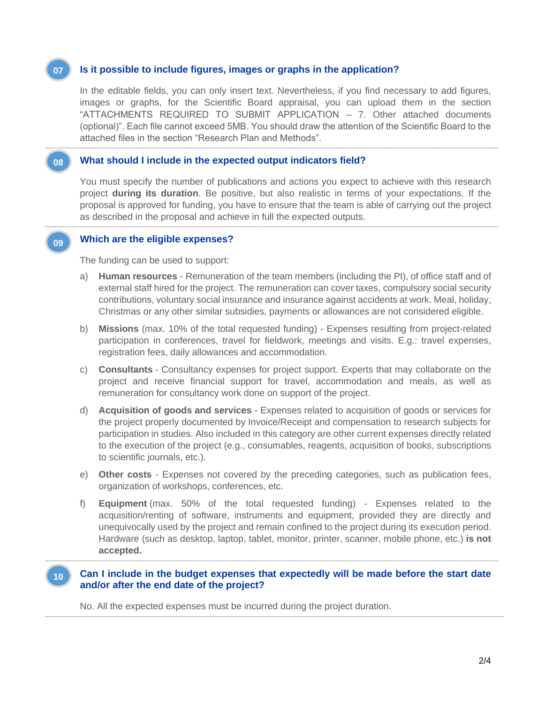#### **Is it possible to include figures, images or graphs in the application? 07**

In the editable fields, you can only insert text. Nevertheless, if you find necessary to add figures, images or graphs, for the Scientific Board appraisal, you can upload them in the section "ATTACHMENTS REQUIRED TO SUBMIT APPLICATION – 7. Other attached documents (optional)". Each file cannot exceed 5MB. You should draw the attention of the Scientific Board to the attached files in the section "Research Plan and Methods".

--------------------------------------------------------------------------------------------------------------------------------------------------------------------------------------------------------------------------------------------

--------------------------------------------------------------------------------------------------------------------------------------------------------------------------------------------------------------------------------------------

#### **What should I include in the expected output indicators field? 08**

You must specify the number of publications and actions you expect to achieve with this research project **during its duration**. Be positive, but also realistic in terms of your expectations. If the proposal is approved for funding, you have to ensure that the team is able of carrying out the project as described in the proposal and achieve in full the expected outputs.

## **1. Which are the eligible expenses?**

**09**

The funding can be used to support:

- a) **Human resources** Remuneration of the team members (including the PI), of office staff and of external staff hired for the project. The remuneration can cover taxes, compulsory social security contributions, voluntary social insurance and insurance against accidents at work. Meal, holiday, Christmas or any other similar subsidies, payments or allowances are not considered eligible.
- b) **Missions** (max. 10% of the total requested funding) Expenses resulting from project-related participation in conferences, travel for fieldwork, meetings and visits. E.g.: travel expenses, registration fees, daily allowances and accommodation.
- c) **Consultants** Consultancy expenses for project support. Experts that may collaborate on the project and receive financial support for travel, accommodation and meals, as well as remuneration for consultancy work done on support of the project.
- d) **Acquisition of goods and services** Expenses related to acquisition of goods or services for the project properly documented by Invoice/Receipt and compensation to research subjects for participation in studies. Also included in this category are other current expenses directly related to the execution of the project (e.g., consumables, reagents, acquisition of books, subscriptions to scientific journals, etc.).
- e) **Other costs** Expenses not covered by the preceding categories, such as publication fees, organization of workshops, conferences, etc.
- f) **Equipment** (max. 50% of the total requested funding) Expenses related to the acquisition/renting of software, instruments and equipment, provided they are directly and unequivocally used by the project and remain confined to the project during its execution period. Hardware (such as desktop, laptop, tablet, monitor, printer, scanner, mobile phone, etc.) **is not accepted.**

#### **2. Can I include in the budget expenses that expectedly will be made before the start date and/or after the end date of the project? 10**

-----------------------------------------------------------------------------------------------------------------------------------------------------------------------------------------------------------------------------------------------

--------------------------------------------------------------------------------------------------------------------------------------------------------------------------------------------------------------------------------------------

No. All the expected expenses must be incurred during the project duration.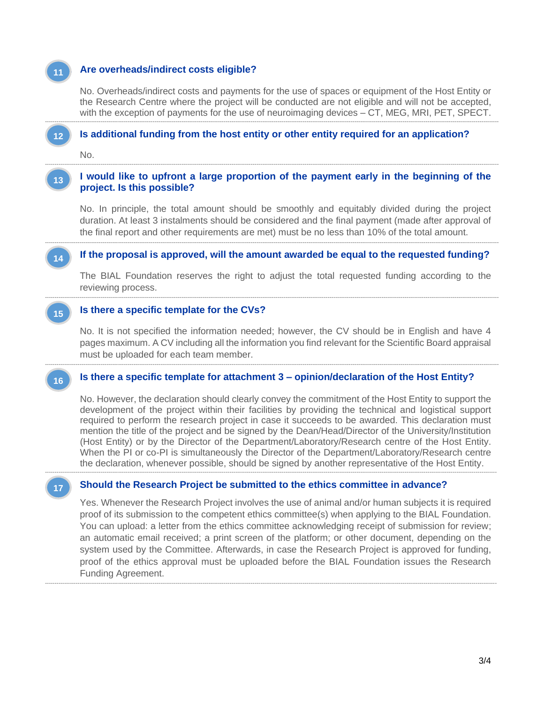# **3. Are overheads/indirect costs eligible?**

No. Overheads/indirect costs and payments for the use of spaces or equipment of the Host Entity or the Research Centre where the project will be conducted are not eligible and will not be accepted, with the exception of payments for the use of neuroimaging devices – CT, MEG, MRI, PET, SPECT.

#### -------------------------------------------------------------------------------------------------------------------------------------------------------------------------------------------------------------------------------------------- **Is additional funding from the host entity or other entity required for an application? 12**

No.

**11**

**14**

**16**

**17**

#### **1. I would like to upfront a large proportion of the payment early in the beginning of the project. Is this possible? 13**

--------------------------------------------------------------------------------------------------------------------------------------------------------------------------------------------------------------------------------------------

No. In principle, the total amount should be smoothly and equitably divided during the project duration. At least 3 instalments should be considered and the final payment (made after approval of the final report and other requirements are met) must be no less than 10% of the total amount.

# **1. If the proposal is approved, will the amount awarded be equal to the requested funding?**

--------------------------------------------------------------------------------------------------------------------------------------------------------------------------------------------------------------------------------------------

--------------------------------------------------------------------------------------------------------------------------------------------------------------------------------------------------------------------------------------------

The BIAL Foundation reserves the right to adjust the total requested funding according to the reviewing process.

#### **2. Is there a specific template for the CVs? 15**

No. It is not specified the information needed; however, the CV should be in English and have 4 pages maximum. A CV including all the information you find relevant for the Scientific Board appraisal must be uploaded for each team member.

### -------------------------------------------------------------------------------------------------------------------------------------------------------------------------------------------------------------------------------------------- **1. Is there a specific template for attachment 3 – opinion/declaration of the Host Entity?**

No. However, the declaration should clearly convey the commitment of the Host Entity to support the development of the project within their facilities by providing the technical and logistical support required to perform the research project in case it succeeds to be awarded. This declaration must mention the title of the project and be signed by the Dean/Head/Director of the University/Institution (Host Entity) or by the Director of the Department/Laboratory/Research centre of the Host Entity. When the PI or co-PI is simultaneously the Director of the Department/Laboratory/Research centre the declaration, whenever possible, should be signed by another representative of the Host Entity. -------------------------------------------------------------------------------------------------------------------------------------------------------------------------------------------------------------------------------------------

### **Should the Research Project be submitted to the ethics committee in advance?**

Yes. Whenever the Research Project involves the use of animal and/or human subjects it is required proof of its submission to the competent ethics committee(s) when applying to the BIAL Foundation. You can upload: a letter from the ethics committee acknowledging receipt of submission for review; an automatic email received; a print screen of the platform; or other document, depending on the system used by the Committee. Afterwards, in case the Research Project is approved for funding, proof of the ethics approval must be uploaded before the BIAL Foundation issues the Research Funding Agreement.

-------------------------------------------------------------------------------------------------------------------------------------------------------------------------------------------------------------------------------------------